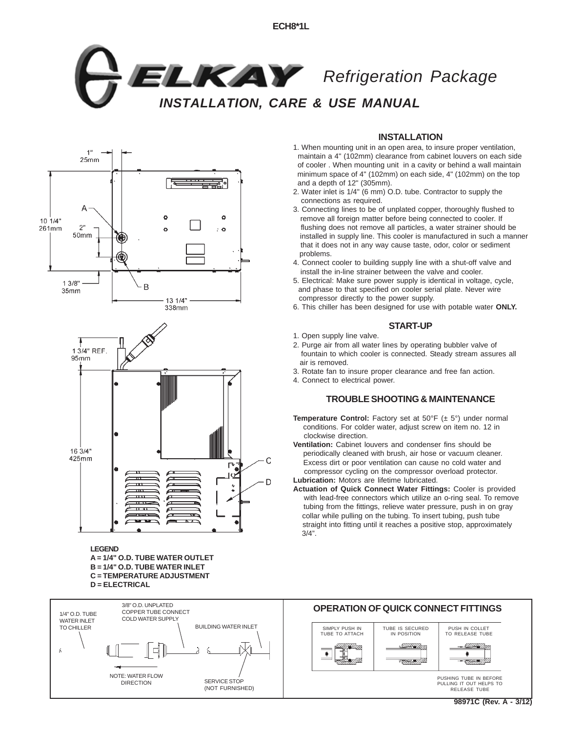



**LEGEND**

**A = 1/4" O.D. TUBE WATER OUTLET B = 1/4" O.D. TUBE WATER INLET C = TEMPERATURE ADJUSTMENT D = ELECTRICAL**



## **INSTALLATION**

- 1. When mounting unit in an open area, to insure proper ventilation, maintain a 4" (102mm) clearance from cabinet louvers on each side of cooler . When mounting unit in a cavity or behind a wall maintain minimum space of 4" (102mm) on each side, 4" (102mm) on the top and a depth of 12" (305mm).
- 2. Water inlet is 1/4" (6 mm) O.D. tube. Contractor to supply the connections as required.
- 3. Connecting lines to be of unplated copper, thoroughly flushed to remove all foreign matter before being connected to cooler. If flushing does not remove all particles, a water strainer should be installed in supply line. This cooler is manufactured in such a manner that it does not in any way cause taste, odor, color or sediment problems.
- 4. Connect cooler to building supply line with a shut-off valve and install the in-line strainer between the valve and cooler.
- 5. Electrical: Make sure power supply is identical in voltage, cycle, and phase to that specified on cooler serial plate. Never wire compressor directly to the power supply.
- 6. This chiller has been designed for use with potable water **ONLY.**

## **START-UP**

- 1. Open supply line valve.
- 2. Purge air from all water lines by operating bubbler valve of fountain to which cooler is connected. Steady stream assures all air is removed.
- 3. Rotate fan to insure proper clearance and free fan action.
- 4. Connect to electrical power.

## **TROUBLE SHOOTING & MAINTENANCE**

- **Temperature Control:** Factory set at 50°F (± 5°) under normal conditions. For colder water, adjust screw on item no. 12 in clockwise direction.
- **Ventilation:** Cabinet louvers and condenser fins should be periodically cleaned with brush, air hose or vacuum cleaner. Excess dirt or poor ventilation can cause no cold water and compressor cycling on the compressor overload protector. **Lubrication:** Motors are lifetime lubricated.
- **Actuation of Quick Connect Water Fittings:** Cooler is provided with lead-free connectors which utilize an o-ring seal. To remove tubing from the fittings, relieve water pressure, push in on gray collar while pulling on the tubing. To insert tubing, push tube straight into fitting until it reaches a positive stop, approximately  $3/4"$